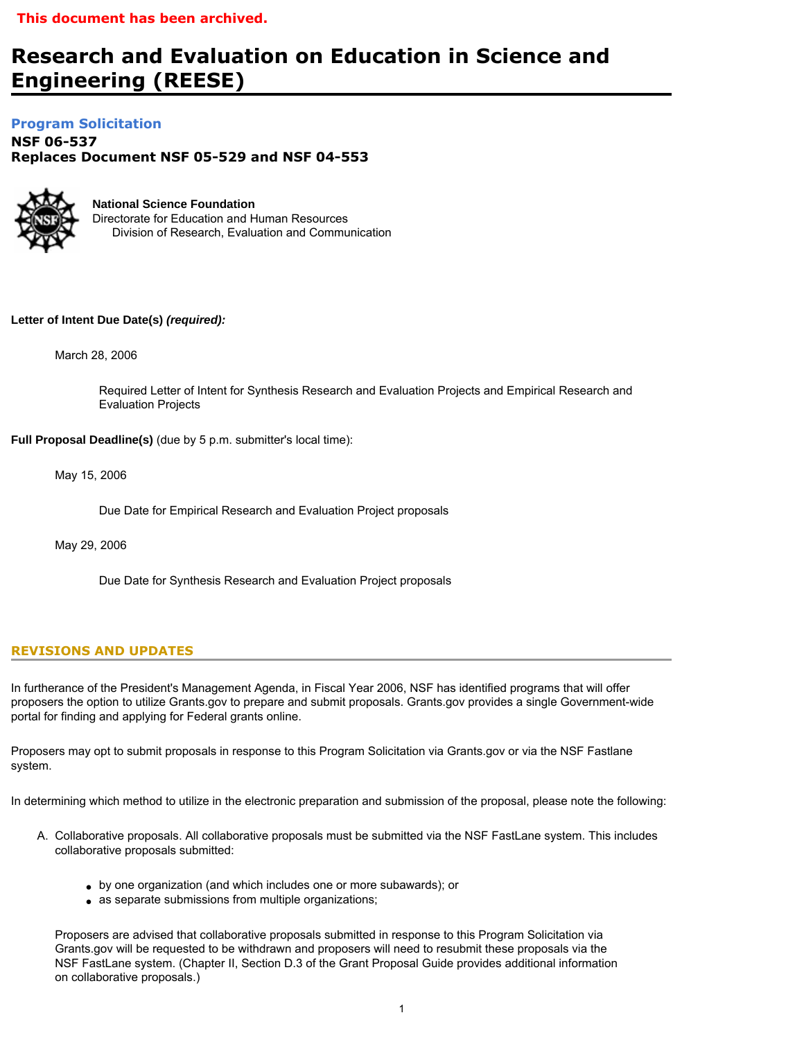# **Research and Evaluation on Education in Science and Engineering (REESE)**

# **[Program Solicitation](#page-3-0)**

**NSF 06-537**  *Replaces Document* **NSF 05-529 and NSF 04-553** 



**National Science Foundation** Directorate for Education and Human Resources Division of Research, Evaluation and Communication

# **Letter of Intent Due Date(s)** *(required):*

March 28, 2006

Required Letter of Intent for Synthesis Research and Evaluation Projects and Empirical Research and Evaluation Projects

**Full Proposal Deadline(s)** (due by 5 p.m. submitter's local time):

May 15, 2006

Due Date for Empirical Research and Evaluation Project proposals

May 29, 2006

Due Date for Synthesis Research and Evaluation Project proposals

# **REVISIONS AND UPDATES**

In furtherance of the President's Management Agenda, in Fiscal Year 2006, NSF has identified programs that will offer proposers the option to utilize Grants.gov to prepare and submit proposals. Grants.gov provides a single Government-wide portal for finding and applying for Federal grants online.

Proposers may opt to submit proposals in response to this Program Solicitation via Grants.gov or via the NSF Fastlane system.

In determining which method to utilize in the electronic preparation and submission of the proposal, please note the following:

- A. Collaborative proposals. All collaborative proposals must be submitted via the NSF FastLane system. This includes collaborative proposals submitted:
	- by one organization (and which includes one or more subawards); or
	- as separate submissions from multiple organizations;

Proposers are advised that collaborative proposals submitted in response to this Program Solicitation via Grants.gov will be requested to be withdrawn and proposers will need to resubmit these proposals via the NSF FastLane system. (Chapter II, Section D.3 of the Grant Proposal Guide provides additional information on collaborative proposals.)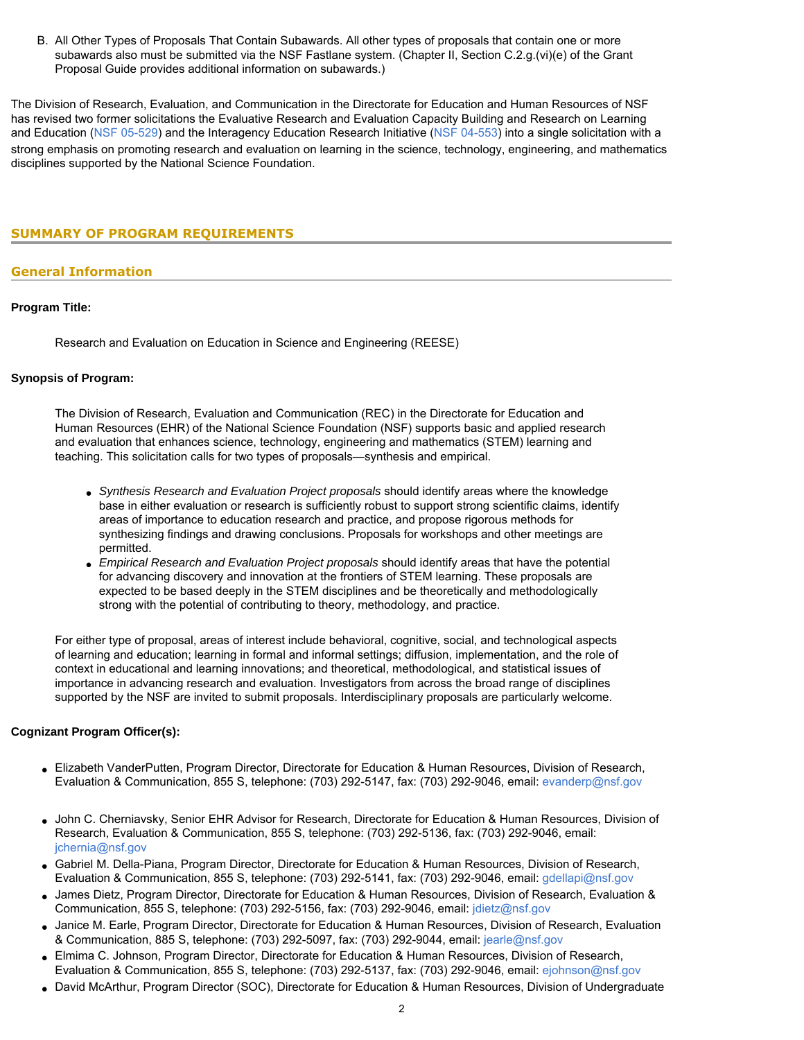B. All Other Types of Proposals That Contain Subawards. All other types of proposals that contain one or more subawards also must be submitted via the NSF Fastlane system. (Chapter II, Section C.2.g.(vi)(e) of the Grant Proposal Guide provides additional information on subawards.)

The Division of Research, Evaluation, and Communication in the Directorate for Education and Human Resources of NSF has revised two former solicitations the Evaluative Research and Evaluation Capacity Building and Research on Learning and Education ([NSF 05-529](http://www.nsf.gov/publications/pub_summ.jsp?ods_key=nsf05529)) and the Interagency Education Research Initiative ([NSF 04-553](http://www.nsf.gov/publications/pub_summ.jsp?ods_key=nsf04553)) into a single solicitation with a strong emphasis on promoting research and evaluation on learning in the science, technology, engineering, and mathematics disciplines supported by the National Science Foundation.

# <span id="page-1-0"></span>**SUMMARY OF PROGRAM REQUIREMENTS**

# **General Information**

## **Program Title:**

Research and Evaluation on Education in Science and Engineering (REESE)

#### **Synopsis of Program:**

The Division of Research, Evaluation and Communication (REC) in the Directorate for Education and Human Resources (EHR) of the National Science Foundation (NSF) supports basic and applied research and evaluation that enhances science, technology, engineering and mathematics (STEM) learning and teaching. This solicitation calls for two types of proposals—synthesis and empirical.

- *Synthesis Research and Evaluation Project proposals* should identify areas where the knowledge base in either evaluation or research is sufficiently robust to support strong scientific claims, identify areas of importance to education research and practice, and propose rigorous methods for synthesizing findings and drawing conclusions. Proposals for workshops and other meetings are permitted.
- *Empirical Research and Evaluation Project proposals* should identify areas that have the potential for advancing discovery and innovation at the frontiers of STEM learning. These proposals are expected to be based deeply in the STEM disciplines and be theoretically and methodologically strong with the potential of contributing to theory, methodology, and practice.

For either type of proposal, areas of interest include behavioral, cognitive, social, and technological aspects of learning and education; learning in formal and informal settings; diffusion, implementation, and the role of context in educational and learning innovations; and theoretical, methodological, and statistical issues of importance in advancing research and evaluation. Investigators from across the broad range of disciplines supported by the NSF are invited to submit proposals. Interdisciplinary proposals are particularly welcome.

## **Cognizant Program Officer(s):**

- Elizabeth VanderPutten, Program Director, Directorate for Education & Human Resources, Division of Research, Evaluation & Communication, 855 S, telephone: (703) 292-5147, fax: (703) 292-9046, email: [evanderp@nsf.gov](mailto:evanderp@nsf.gov)
- John C. Cherniavsky, Senior EHR Advisor for Research, Directorate for Education & Human Resources, Division of Research, Evaluation & Communication, 855 S, telephone: (703) 292-5136, fax: (703) 292-9046, email: [jchernia@nsf.gov](mailto:jchernia@nsf.gov)
- Gabriel M. Della-Piana, Program Director, Directorate for Education & Human Resources, Division of Research, Evaluation & Communication, 855 S, telephone: (703) 292-5141, fax: (703) 292-9046, email: [gdellapi@nsf.gov](mailto:gdellapi@nsf.gov)
- James Dietz, Program Director, Directorate for Education & Human Resources, Division of Research, Evaluation & Communication, 855 S, telephone: (703) 292-5156, fax: (703) 292-9046, email: [jdietz@nsf.gov](mailto:jdietz@nsf.gov)
- Janice M. Earle, Program Director, Directorate for Education & Human Resources, Division of Research, Evaluation & Communication, 885 S, telephone: (703) 292-5097, fax: (703) 292-9044, email: [jearle@nsf.gov](mailto:jearle@nsf.gov)
- Elmima C. Johnson, Program Director, Directorate for Education & Human Resources, Division of Research, Evaluation & Communication, 855 S, telephone: (703) 292-5137, fax: (703) 292-9046, email: [ejohnson@nsf.gov](mailto:ejohnson@nsf.gov)
- David McArthur, Program Director (SOC), Directorate for Education & Human Resources, Division of Undergraduate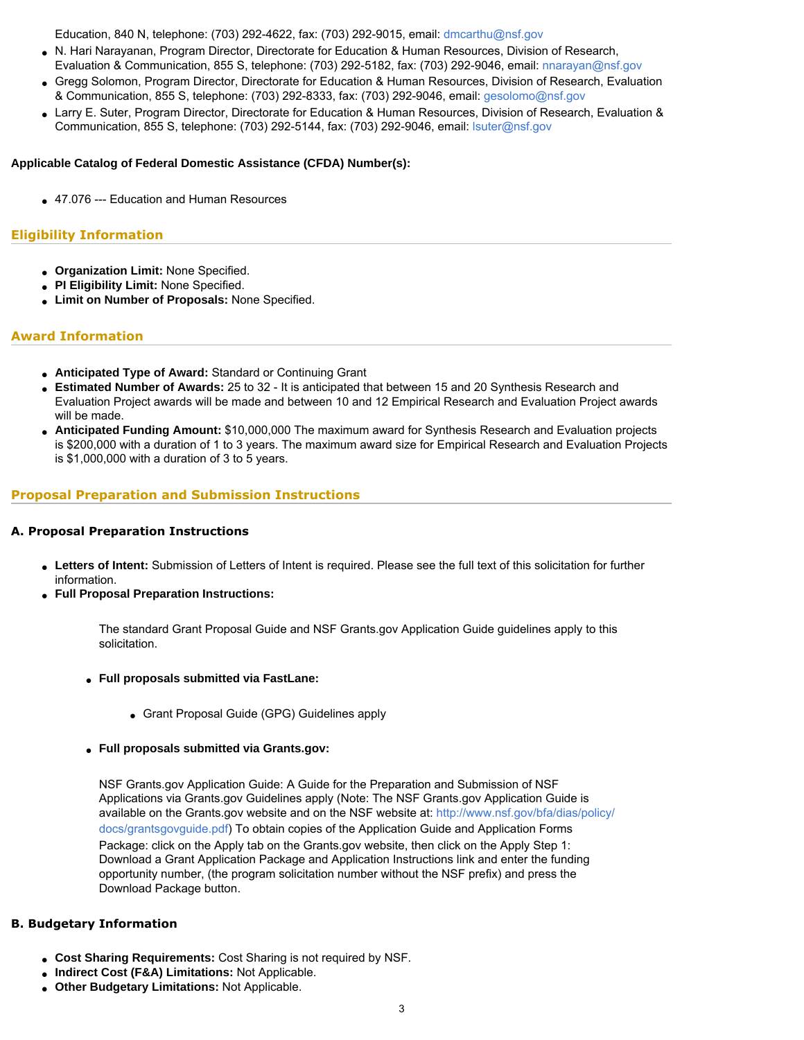Education, 840 N, telephone: (703) 292-4622, fax: (703) 292-9015, email: [dmcarthu@nsf.gov](mailto:dmcarthu@nsf.gov)

- N. Hari Narayanan, Program Director, Directorate for Education & Human Resources, Division of Research, Evaluation & Communication, 855 S, telephone: (703) 292-5182, fax: (703) 292-9046, email: [nnarayan@nsf.gov](mailto:nnarayan@nsf.gov)
- Gregg Solomon, Program Director, Directorate for Education & Human Resources, Division of Research, Evaluation & Communication, 855 S, telephone: (703) 292-8333, fax: (703) 292-9046, email: [gesolomo@nsf.gov](mailto:gesolomo@nsf.gov)
- Larry E. Suter, Program Director, Directorate for Education & Human Resources, Division of Research, Evaluation & Communication, 855 S, telephone: (703) 292-5144, fax: (703) 292-9046, email: [lsuter@nsf.gov](mailto:lsuter@nsf.gov)

## **Applicable Catalog of Federal Domestic Assistance (CFDA) Number(s):**

● 47.076 --- Education and Human Resources

# **Eligibility Information**

- **Organization Limit:** None Specified.
- **PI Eligibility Limit:** None Specified.
- **Limit on Number of Proposals:** None Specified.

# **Award Information**

- **Anticipated Type of Award:** Standard or Continuing Grant
- **Estimated Number of Awards:** 25 to 32 It is anticipated that between 15 and 20 Synthesis Research and Evaluation Project awards will be made and between 10 and 12 Empirical Research and Evaluation Project awards will be made.
- **Anticipated Funding Amount:** \$10,000,000 The maximum award for Synthesis Research and Evaluation projects is \$200,000 with a duration of 1 to 3 years. The maximum award size for Empirical Research and Evaluation Projects is \$1,000,000 with a duration of 3 to 5 years.

# **Proposal Preparation and Submission Instructions**

## **A. Proposal Preparation Instructions**

- **Letters of Intent:** Submission of Letters of Intent is required. Please see the full text of this solicitation for further information.
- **Full Proposal Preparation Instructions:**

The standard Grant Proposal Guide and NSF Grants.gov Application Guide guidelines apply to this solicitation.

- **Full proposals submitted via FastLane:** 
	- Grant Proposal Guide (GPG) Guidelines apply
- **Full proposals submitted via Grants.gov:**

NSF Grants.gov Application Guide: A Guide for the Preparation and Submission of NSF Applications via Grants.gov Guidelines apply (Note: The NSF Grants.gov Application Guide is available on the Grants.gov website and on the NSF website at: [http://www.nsf.gov/bfa/dias/policy/](http://www.nsf.gov/bfa/dias/policy/docs/grantsgovguide.pdf) [docs/grantsgovguide.pdf\)](http://www.nsf.gov/bfa/dias/policy/docs/grantsgovguide.pdf) To obtain copies of the Application Guide and Application Forms Package: click on the Apply tab on the Grants.gov website, then click on the Apply Step 1: Download a Grant Application Package and Application Instructions link and enter the funding opportunity number, (the program solicitation number without the NSF prefix) and press the Download Package button.

## **B. Budgetary Information**

- **Cost Sharing Requirements:** Cost Sharing is not required by NSF.
- **Indirect Cost (F&A) Limitations:** Not Applicable.
- **Other Budgetary Limitations:** Not Applicable.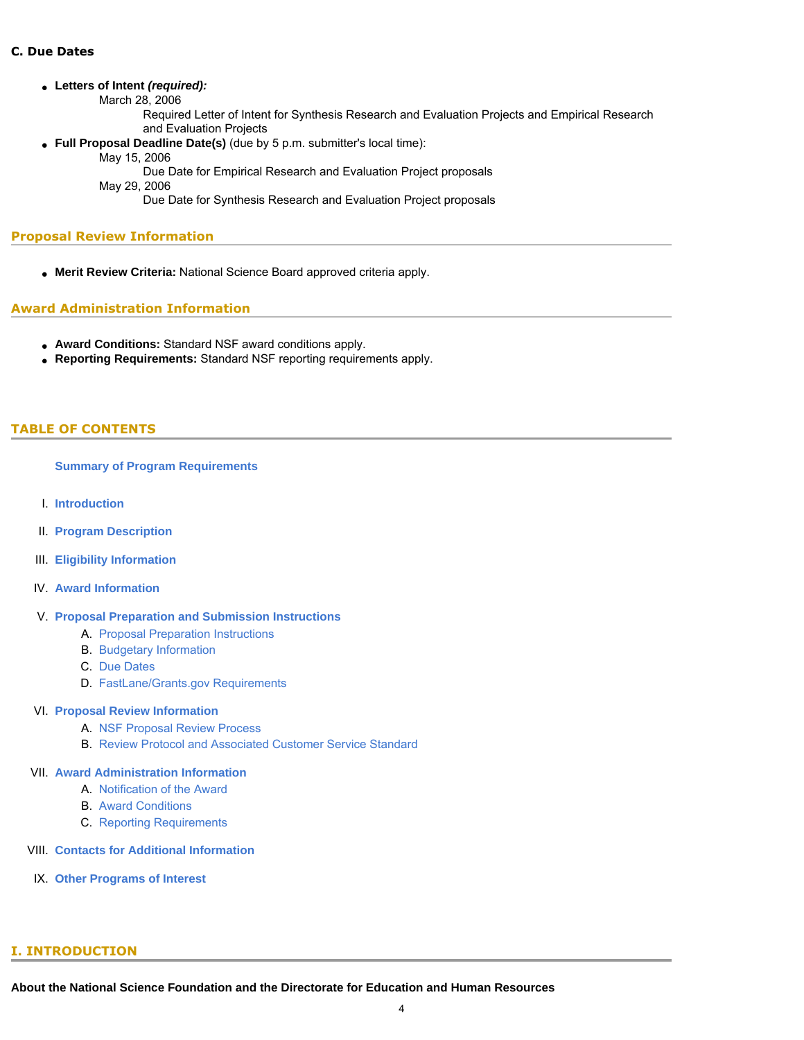#### ● **Letters of Intent** *(required):*

March 28, 2006

Required Letter of Intent for Synthesis Research and Evaluation Projects and Empirical Research and Evaluation Projects

● **Full Proposal Deadline Date(s)** (due by 5 p.m. submitter's local time):

May 15, 2006

Due Date for Empirical Research and Evaluation Project proposals

May 29, 2006

Due Date for Synthesis Research and Evaluation Project proposals

## **Proposal Review Information**

● **Merit Review Criteria:** National Science Board approved criteria apply.

# **Award Administration Information**

- **Award Conditions:** Standard NSF award conditions apply.
- **Reporting Requirements:** Standard NSF reporting requirements apply.

# <span id="page-3-0"></span>**TABLE OF CONTENTS**

#### **[Summary of Program Requirements](#page-1-0)**

- I. **[Introduction](#page-3-1)**
- II. **[Program Description](#page-4-0)**
- III. **[Eligibility Information](#page-6-0)**
- IV. **[Award Information](#page-6-1)**
- V. **[Proposal Preparation and Submission Instructions](#page-7-0)**
	- A. [Proposal Preparation Instructions](#page-7-0)
	- B. [Budgetary Information](#page-8-0)
	- C. [Due Dates](#page-8-1)
	- D. [FastLane/Grants.gov Requirements](#page-8-2)

## VI. **[Proposal Review Information](#page-9-0)**

- A. [NSF Proposal Review Process](#page-9-1)
- B. [Review Protocol and Associated Customer Service Standard](#page-10-0)

# VII. **[Award Administration Information](#page-10-1)**

- A. [Notification of the Award](#page-10-2)
- B. [Award Conditions](#page-10-3)
- C. [Reporting Requirements](#page-11-0)
- VIII. **[Contacts for Additional Information](#page-11-1)**
- <span id="page-3-1"></span>IX. **[Other Programs of Interest](#page-12-0)**

## **I. INTRODUCTION**

**About the National Science Foundation and the Directorate for Education and Human Resources**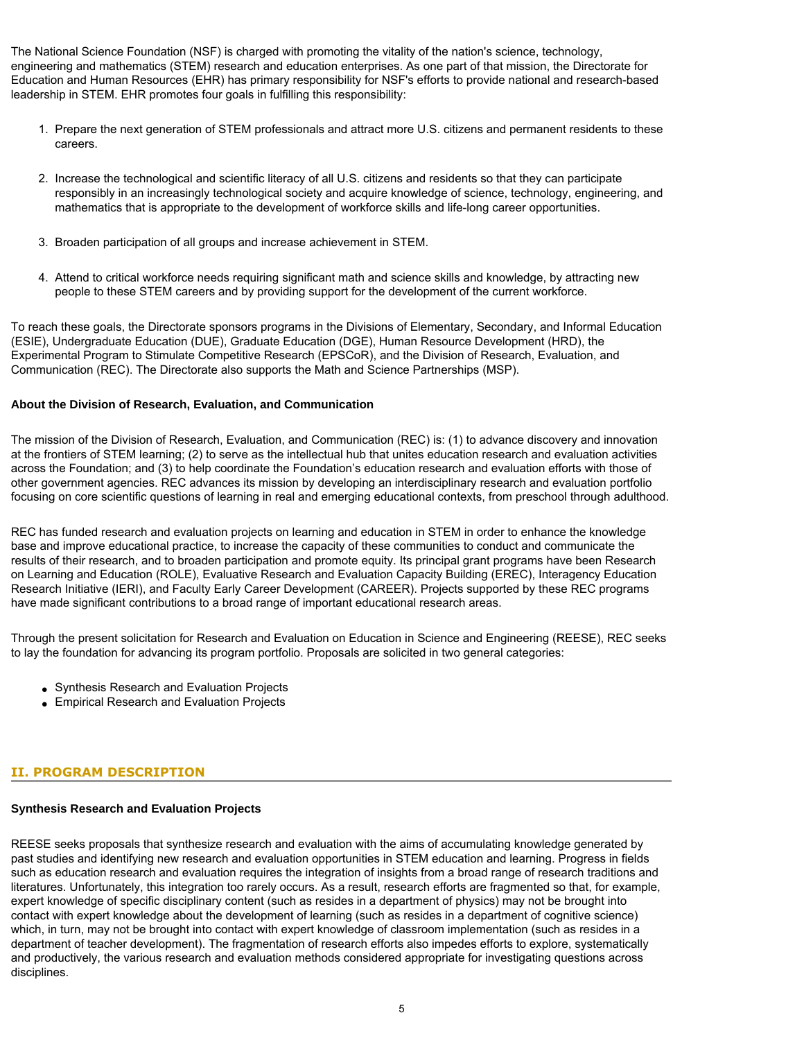The National Science Foundation (NSF) is charged with promoting the vitality of the nation's science, technology, engineering and mathematics (STEM) research and education enterprises. As one part of that mission, the Directorate for Education and Human Resources (EHR) has primary responsibility for NSF's efforts to provide national and research-based leadership in STEM. EHR promotes four goals in fulfilling this responsibility:

- 1. Prepare the next generation of STEM professionals and attract more U.S. citizens and permanent residents to these careers.
- 2. Increase the technological and scientific literacy of all U.S. citizens and residents so that they can participate responsibly in an increasingly technological society and acquire knowledge of science, technology, engineering, and mathematics that is appropriate to the development of workforce skills and life-long career opportunities.
- 3. Broaden participation of all groups and increase achievement in STEM.
- 4. Attend to critical workforce needs requiring significant math and science skills and knowledge, by attracting new people to these STEM careers and by providing support for the development of the current workforce.

To reach these goals, the Directorate sponsors programs in the Divisions of Elementary, Secondary, and Informal Education (ESIE), Undergraduate Education (DUE), Graduate Education (DGE), Human Resource Development (HRD), the Experimental Program to Stimulate Competitive Research (EPSCoR), and the Division of Research, Evaluation, and Communication (REC). The Directorate also supports the Math and Science Partnerships (MSP).

#### **About the Division of Research, Evaluation, and Communication**

The mission of the Division of Research, Evaluation, and Communication (REC) is: (1) to advance discovery and innovation at the frontiers of STEM learning; (2) to serve as the intellectual hub that unites education research and evaluation activities across the Foundation; and (3) to help coordinate the Foundation's education research and evaluation efforts with those of other government agencies. REC advances its mission by developing an interdisciplinary research and evaluation portfolio focusing on core scientific questions of learning in real and emerging educational contexts, from preschool through adulthood.

REC has funded research and evaluation projects on learning and education in STEM in order to enhance the knowledge base and improve educational practice, to increase the capacity of these communities to conduct and communicate the results of their research, and to broaden participation and promote equity. Its principal grant programs have been Research on Learning and Education (ROLE), Evaluative Research and Evaluation Capacity Building (EREC), Interagency Education Research Initiative (IERI), and Faculty Early Career Development (CAREER). Projects supported by these REC programs have made significant contributions to a broad range of important educational research areas.

Through the present solicitation for Research and Evaluation on Education in Science and Engineering (REESE), REC seeks to lay the foundation for advancing its program portfolio. Proposals are solicited in two general categories:

- Synthesis Research and Evaluation Projects
- Empirical Research and Evaluation Projects

## <span id="page-4-0"></span>**II. PROGRAM DESCRIPTION**

#### **Synthesis Research and Evaluation Projects**

REESE seeks proposals that synthesize research and evaluation with the aims of accumulating knowledge generated by past studies and identifying new research and evaluation opportunities in STEM education and learning. Progress in fields such as education research and evaluation requires the integration of insights from a broad range of research traditions and literatures. Unfortunately, this integration too rarely occurs. As a result, research efforts are fragmented so that, for example, expert knowledge of specific disciplinary content (such as resides in a department of physics) may not be brought into contact with expert knowledge about the development of learning (such as resides in a department of cognitive science) which, in turn, may not be brought into contact with expert knowledge of classroom implementation (such as resides in a department of teacher development). The fragmentation of research efforts also impedes efforts to explore, systematically and productively, the various research and evaluation methods considered appropriate for investigating questions across disciplines.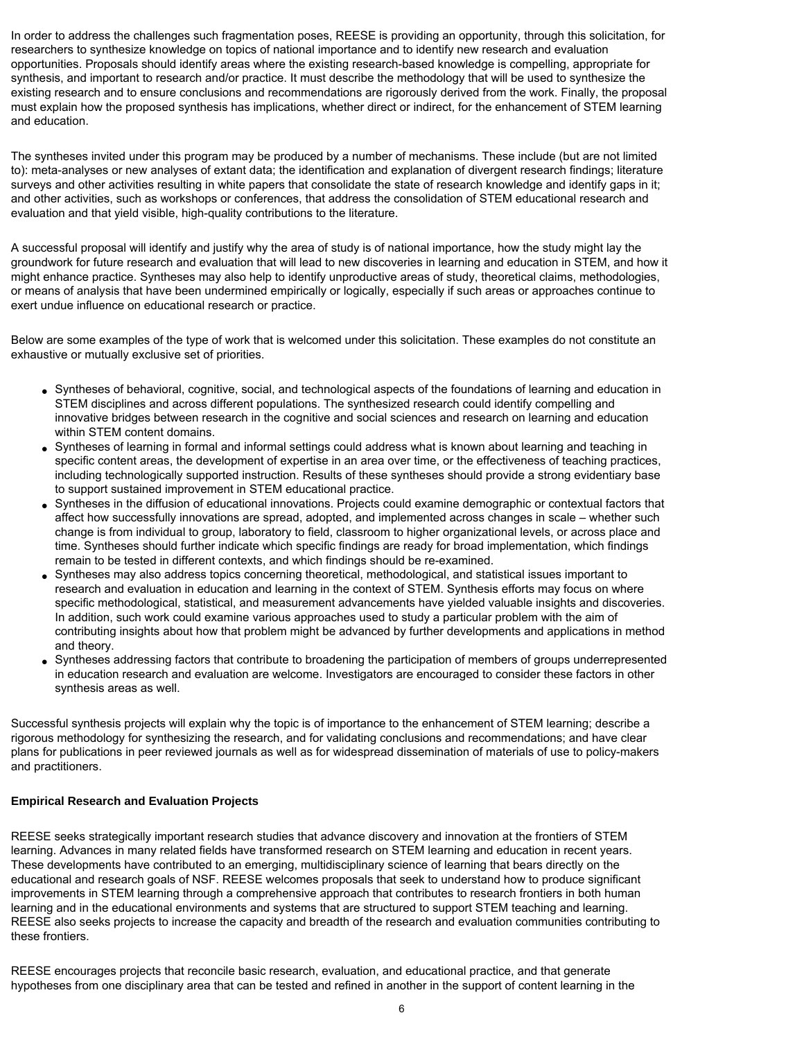In order to address the challenges such fragmentation poses, REESE is providing an opportunity, through this solicitation, for researchers to synthesize knowledge on topics of national importance and to identify new research and evaluation opportunities. Proposals should identify areas where the existing research-based knowledge is compelling, appropriate for synthesis, and important to research and/or practice. It must describe the methodology that will be used to synthesize the existing research and to ensure conclusions and recommendations are rigorously derived from the work. Finally, the proposal must explain how the proposed synthesis has implications, whether direct or indirect, for the enhancement of STEM learning and education.

The syntheses invited under this program may be produced by a number of mechanisms. These include (but are not limited to): meta-analyses or new analyses of extant data; the identification and explanation of divergent research findings; literature surveys and other activities resulting in white papers that consolidate the state of research knowledge and identify gaps in it; and other activities, such as workshops or conferences, that address the consolidation of STEM educational research and evaluation and that yield visible, high-quality contributions to the literature.

A successful proposal will identify and justify why the area of study is of national importance, how the study might lay the groundwork for future research and evaluation that will lead to new discoveries in learning and education in STEM, and how it might enhance practice. Syntheses may also help to identify unproductive areas of study, theoretical claims, methodologies, or means of analysis that have been undermined empirically or logically, especially if such areas or approaches continue to exert undue influence on educational research or practice.

Below are some examples of the type of work that is welcomed under this solicitation. These examples do not constitute an exhaustive or mutually exclusive set of priorities.

- Syntheses of behavioral, cognitive, social, and technological aspects of the foundations of learning and education in STEM disciplines and across different populations. The synthesized research could identify compelling and innovative bridges between research in the cognitive and social sciences and research on learning and education within STEM content domains.
- Syntheses of learning in formal and informal settings could address what is known about learning and teaching in specific content areas, the development of expertise in an area over time, or the effectiveness of teaching practices, including technologically supported instruction. Results of these syntheses should provide a strong evidentiary base to support sustained improvement in STEM educational practice.
- Syntheses in the diffusion of educational innovations. Projects could examine demographic or contextual factors that affect how successfully innovations are spread, adopted, and implemented across changes in scale – whether such change is from individual to group, laboratory to field, classroom to higher organizational levels, or across place and time. Syntheses should further indicate which specific findings are ready for broad implementation, which findings remain to be tested in different contexts, and which findings should be re-examined.
- Syntheses may also address topics concerning theoretical, methodological, and statistical issues important to research and evaluation in education and learning in the context of STEM. Synthesis efforts may focus on where specific methodological, statistical, and measurement advancements have yielded valuable insights and discoveries. In addition, such work could examine various approaches used to study a particular problem with the aim of contributing insights about how that problem might be advanced by further developments and applications in method and theory.
- Syntheses addressing factors that contribute to broadening the participation of members of groups underrepresented in education research and evaluation are welcome. Investigators are encouraged to consider these factors in other synthesis areas as well.

Successful synthesis projects will explain why the topic is of importance to the enhancement of STEM learning; describe a rigorous methodology for synthesizing the research, and for validating conclusions and recommendations; and have clear plans for publications in peer reviewed journals as well as for widespread dissemination of materials of use to policy-makers and practitioners.

## **Empirical Research and Evaluation Projects**

REESE seeks strategically important research studies that advance discovery and innovation at the frontiers of STEM learning. Advances in many related fields have transformed research on STEM learning and education in recent years. These developments have contributed to an emerging, multidisciplinary science of learning that bears directly on the educational and research goals of NSF. REESE welcomes proposals that seek to understand how to produce significant improvements in STEM learning through a comprehensive approach that contributes to research frontiers in both human learning and in the educational environments and systems that are structured to support STEM teaching and learning. REESE also seeks projects to increase the capacity and breadth of the research and evaluation communities contributing to these frontiers.

REESE encourages projects that reconcile basic research, evaluation, and educational practice, and that generate hypotheses from one disciplinary area that can be tested and refined in another in the support of content learning in the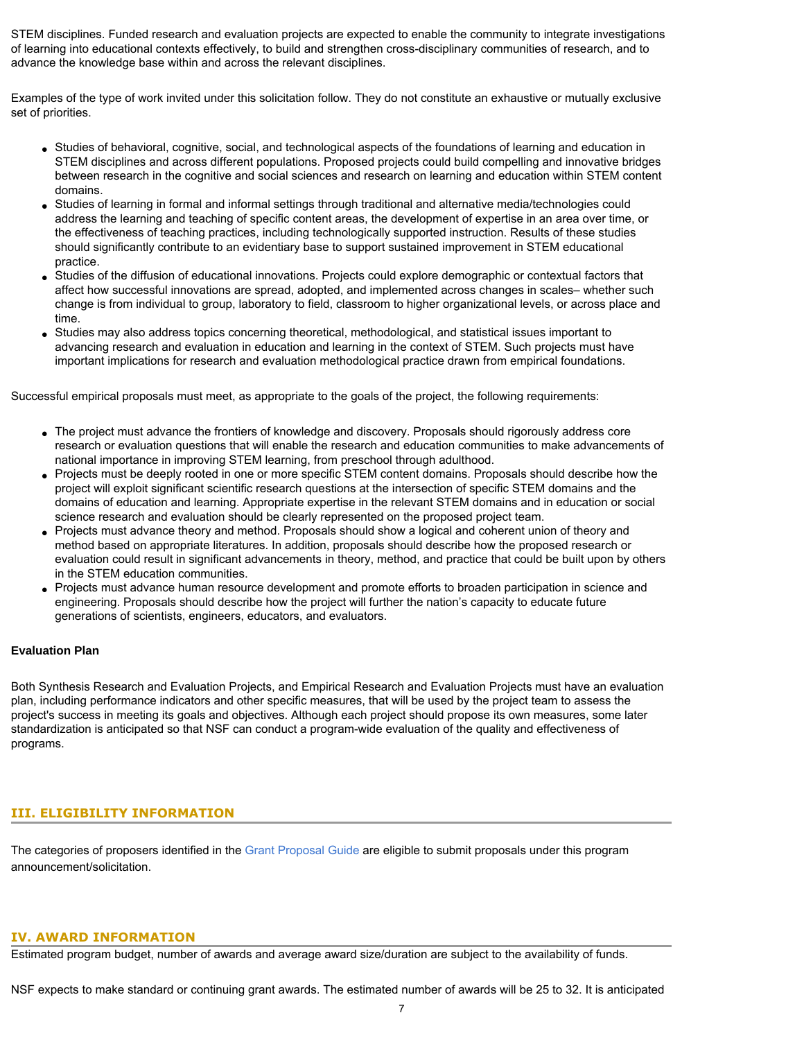STEM disciplines. Funded research and evaluation projects are expected to enable the community to integrate investigations of learning into educational contexts effectively, to build and strengthen cross-disciplinary communities of research, and to advance the knowledge base within and across the relevant disciplines.

Examples of the type of work invited under this solicitation follow. They do not constitute an exhaustive or mutually exclusive set of priorities.

- Studies of behavioral, cognitive, social, and technological aspects of the foundations of learning and education in STEM disciplines and across different populations. Proposed projects could build compelling and innovative bridges between research in the cognitive and social sciences and research on learning and education within STEM content domains.
- Studies of learning in formal and informal settings through traditional and alternative media/technologies could address the learning and teaching of specific content areas, the development of expertise in an area over time, or the effectiveness of teaching practices, including technologically supported instruction. Results of these studies should significantly contribute to an evidentiary base to support sustained improvement in STEM educational practice.
- Studies of the diffusion of educational innovations. Projects could explore demographic or contextual factors that affect how successful innovations are spread, adopted, and implemented across changes in scales– whether such change is from individual to group, laboratory to field, classroom to higher organizational levels, or across place and time.
- Studies may also address topics concerning theoretical, methodological, and statistical issues important to advancing research and evaluation in education and learning in the context of STEM. Such projects must have important implications for research and evaluation methodological practice drawn from empirical foundations.

Successful empirical proposals must meet, as appropriate to the goals of the project, the following requirements:

- The project must advance the frontiers of knowledge and discovery. Proposals should rigorously address core research or evaluation questions that will enable the research and education communities to make advancements of national importance in improving STEM learning, from preschool through adulthood.
- Projects must be deeply rooted in one or more specific STEM content domains. Proposals should describe how the project will exploit significant scientific research questions at the intersection of specific STEM domains and the domains of education and learning. Appropriate expertise in the relevant STEM domains and in education or social science research and evaluation should be clearly represented on the proposed project team.
- Projects must advance theory and method. Proposals should show a logical and coherent union of theory and method based on appropriate literatures. In addition, proposals should describe how the proposed research or evaluation could result in significant advancements in theory, method, and practice that could be built upon by others in the STEM education communities.
- Projects must advance human resource development and promote efforts to broaden participation in science and engineering. Proposals should describe how the project will further the nation's capacity to educate future generations of scientists, engineers, educators, and evaluators.

## **Evaluation Plan**

Both Synthesis Research and Evaluation Projects, and Empirical Research and Evaluation Projects must have an evaluation plan, including performance indicators and other specific measures, that will be used by the project team to assess the project's success in meeting its goals and objectives. Although each project should propose its own measures, some later standardization is anticipated so that NSF can conduct a program-wide evaluation of the quality and effectiveness of programs.

# <span id="page-6-0"></span>**III. ELIGIBILITY INFORMATION**

The categories of proposers identified in the [Grant Proposal Guide](http://www.nsf.gov/pubsys/ods/getpub.cfm?gpg) are eligible to submit proposals under this program announcement/solicitation.

#### <span id="page-6-1"></span>**IV. AWARD INFORMATION**

Estimated program budget, number of awards and average award size/duration are subject to the availability of funds.

NSF expects to make standard or continuing grant awards. The estimated number of awards will be 25 to 32. It is anticipated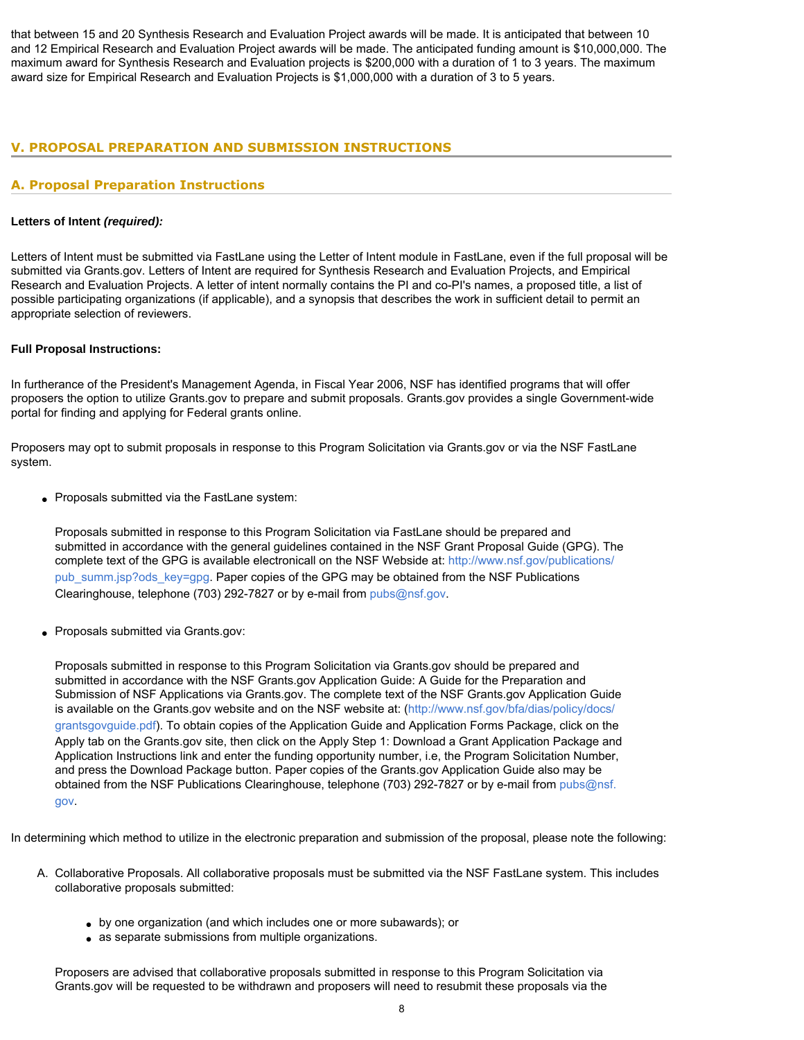that between 15 and 20 Synthesis Research and Evaluation Project awards will be made. It is anticipated that between 10 and 12 Empirical Research and Evaluation Project awards will be made. The anticipated funding amount is \$10,000,000. The maximum award for Synthesis Research and Evaluation projects is \$200,000 with a duration of 1 to 3 years. The maximum award size for Empirical Research and Evaluation Projects is \$1,000,000 with a duration of 3 to 5 years.

# <span id="page-7-0"></span>**V. PROPOSAL PREPARATION AND SUBMISSION INSTRUCTIONS**

# **A. Proposal Preparation Instructions**

## **Letters of Intent** *(required):*

Letters of Intent must be submitted via FastLane using the Letter of Intent module in FastLane, even if the full proposal will be submitted via Grants.gov. Letters of Intent are required for Synthesis Research and Evaluation Projects, and Empirical Research and Evaluation Projects. A letter of intent normally contains the PI and co-PI's names, a proposed title, a list of possible participating organizations (if applicable), and a synopsis that describes the work in sufficient detail to permit an appropriate selection of reviewers.

#### **Full Proposal Instructions:**

In furtherance of the President's Management Agenda, in Fiscal Year 2006, NSF has identified programs that will offer proposers the option to utilize Grants.gov to prepare and submit proposals. Grants.gov provides a single Government-wide portal for finding and applying for Federal grants online.

Proposers may opt to submit proposals in response to this Program Solicitation via Grants.gov or via the NSF FastLane system.

• Proposals submitted via the FastLane system:

Proposals submitted in response to this Program Solicitation via FastLane should be prepared and submitted in accordance with the general guidelines contained in the NSF Grant Proposal Guide (GPG). The complete text of the GPG is available electronicall on the NSF Webside at: [http://www.nsf.gov/publications/](http://www.nsf.gov/publications/pub_summ.jsp?ods_key=gpg) [pub\\_summ.jsp?ods\\_key=gpg.](http://www.nsf.gov/publications/pub_summ.jsp?ods_key=gpg) Paper copies of the GPG may be obtained from the NSF Publications Clearinghouse, telephone (703) 292-7827 or by e-mail from [pubs@nsf.gov.](mailto:pubs@nsf.gov)

• Proposals submitted via Grants.gov:

Proposals submitted in response to this Program Solicitation via Grants.gov should be prepared and submitted in accordance with the NSF Grants.gov Application Guide: A Guide for the Preparation and Submission of NSF Applications via Grants.gov. The complete text of the NSF Grants.gov Application Guide is available on the Grants.gov website and on the NSF website at: ([http://www.nsf.gov/bfa/dias/policy/docs/](http://www.nsf.gov/bfa/dias/policy/docs/grantsgovguide.pdf) [grantsgovguide.pdf\)](http://www.nsf.gov/bfa/dias/policy/docs/grantsgovguide.pdf). To obtain copies of the Application Guide and Application Forms Package, click on the Apply tab on the Grants.gov site, then click on the Apply Step 1: Download a Grant Application Package and Application Instructions link and enter the funding opportunity number, i.e, the Program Solicitation Number, and press the Download Package button. Paper copies of the Grants.gov Application Guide also may be obtained from the NSF Publications Clearinghouse, telephone (703) 292-7827 or by e-mail from [pubs@nsf.](mailto:pubs@nsf.gov) [gov](mailto:pubs@nsf.gov).

In determining which method to utilize in the electronic preparation and submission of the proposal, please note the following:

- A. Collaborative Proposals. All collaborative proposals must be submitted via the NSF FastLane system. This includes collaborative proposals submitted:
	- by one organization (and which includes one or more subawards); or
	- as separate submissions from multiple organizations.

Proposers are advised that collaborative proposals submitted in response to this Program Solicitation via Grants.gov will be requested to be withdrawn and proposers will need to resubmit these proposals via the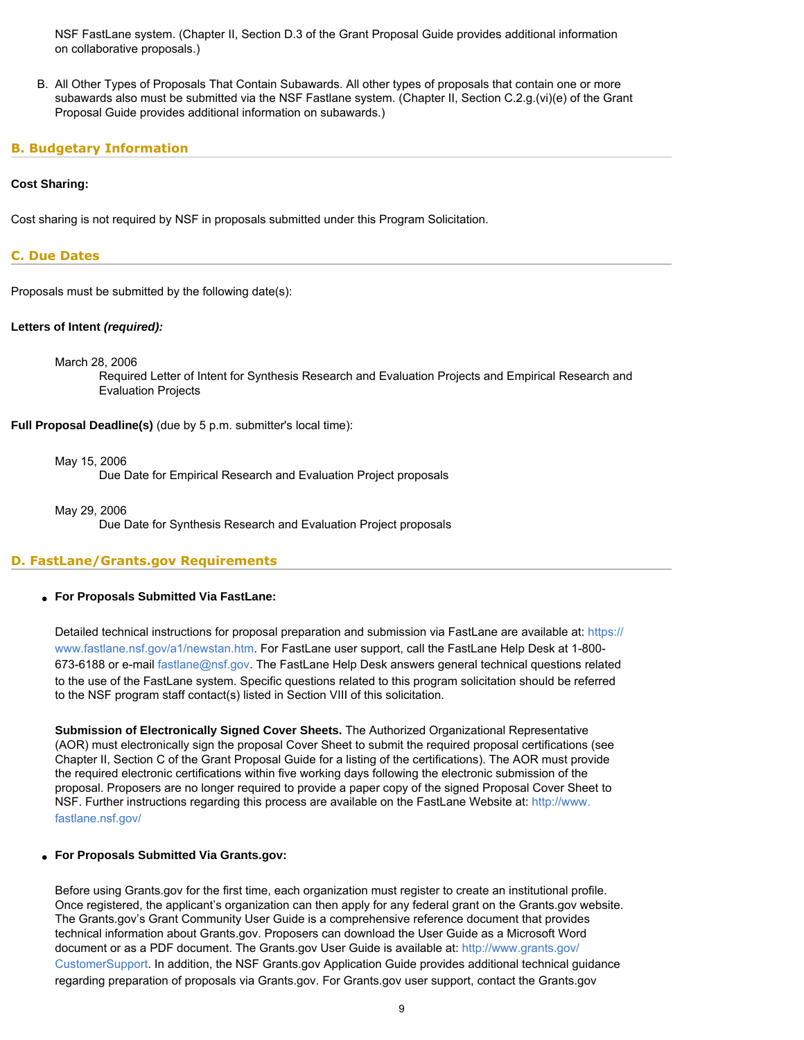NSF FastLane system. (Chapter II, Section D.3 of the Grant Proposal Guide provides additional information on collaborative proposals.)

B. All Other Types of Proposals That Contain Subawards. All other types of proposals that contain one or more subawards also must be submitted via the NSF Fastlane system. (Chapter II, Section C.2.g.(vi)(e) of the Grant Proposal Guide provides additional information on subawards.)

# <span id="page-8-0"></span>**B. Budgetary Information**

#### **Cost Sharing:**

Cost sharing is not required by NSF in proposals submitted under this Program Solicitation.

#### <span id="page-8-1"></span>**C. Due Dates**

Proposals must be submitted by the following date(s):

#### **Letters of Intent** *(required):*

March 28, 2006

Required Letter of Intent for Synthesis Research and Evaluation Projects and Empirical Research and Evaluation Projects

**Full Proposal Deadline(s)** (due by 5 p.m. submitter's local time):

May 15, 2006

Due Date for Empirical Research and Evaluation Project proposals

May 29, 2006

Due Date for Synthesis Research and Evaluation Project proposals

## <span id="page-8-2"></span>**D. FastLane/Grants.gov Requirements**

#### ● **For Proposals Submitted Via FastLane:**

Detailed technical instructions for proposal preparation and submission via FastLane are available at: [https://](https://www.fastlane.nsf.gov/a1/newstan.htm) [www.fastlane.nsf.gov/a1/newstan.htm](https://www.fastlane.nsf.gov/a1/newstan.htm). For FastLane user support, call the FastLane Help Desk at 1-800- 673-6188 or e-mail [fastlane@nsf.gov](mailto:fastlane@nsf.gov). The FastLane Help Desk answers general technical questions related to the use of the FastLane system. Specific questions related to this program solicitation should be referred to the NSF program staff contact(s) listed in Section VIII of this solicitation.

**Submission of Electronically Signed Cover Sheets.** The Authorized Organizational Representative (AOR) must electronically sign the proposal Cover Sheet to submit the required proposal certifications (see Chapter II, Section C of the Grant Proposal Guide for a listing of the certifications). The AOR must provide the required electronic certifications within five working days following the electronic submission of the proposal. Proposers are no longer required to provide a paper copy of the signed Proposal Cover Sheet to NSF. Further instructions regarding this process are available on the FastLane Website at: [http://www.](http://www.fastlane.nsf.gov/) [fastlane.nsf.gov/](http://www.fastlane.nsf.gov/)

#### ● **For Proposals Submitted Via Grants.gov:**

Before using Grants.gov for the first time, each organization must register to create an institutional profile. Once registered, the applicant's organization can then apply for any federal grant on the Grants.gov website. The Grants.gov's Grant Community User Guide is a comprehensive reference document that provides technical information about Grants.gov. Proposers can download the User Guide as a Microsoft Word document or as a PDF document. The Grants.gov User Guide is available at: [http://www.grants.gov/](http://www.grants.gov/CustomerSupport) [CustomerSupport.](http://www.grants.gov/CustomerSupport) In addition, the NSF Grants.gov Application Guide provides additional technical guidance regarding preparation of proposals via Grants.gov. For Grants.gov user support, contact the Grants.gov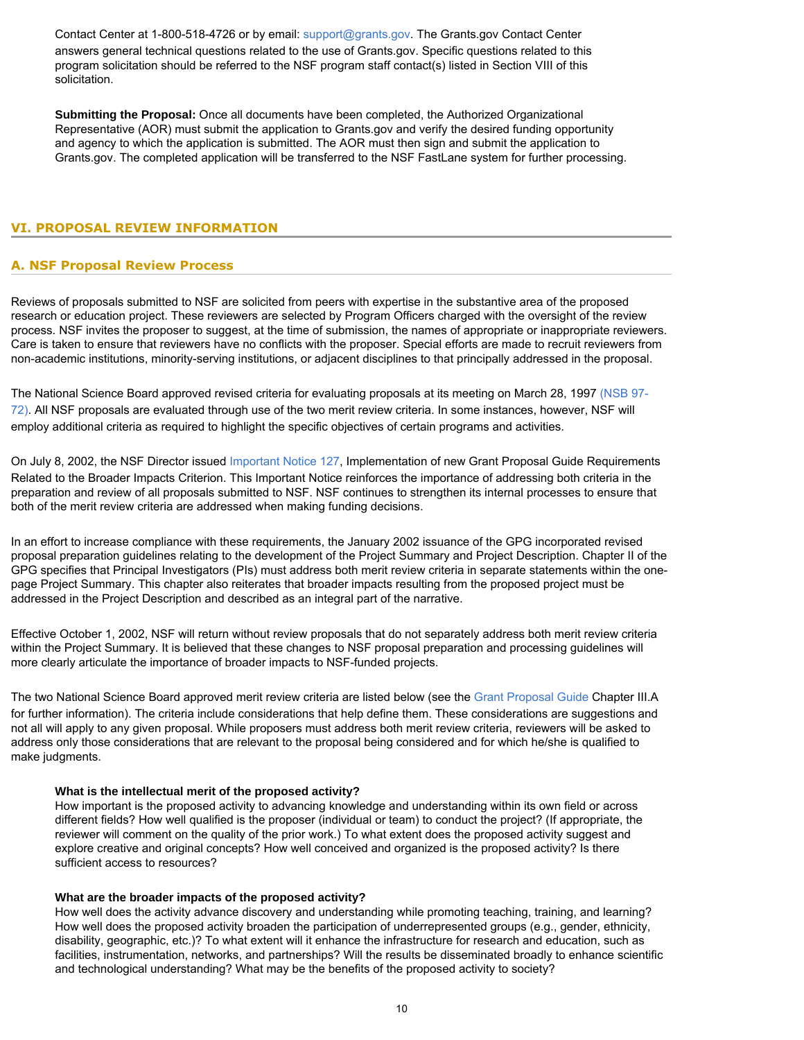Contact Center at 1-800-518-4726 or by email: [support@grants.gov.](mailto:support@grants.gov) The Grants.gov Contact Center answers general technical questions related to the use of Grants.gov. Specific questions related to this program solicitation should be referred to the NSF program staff contact(s) listed in Section VIII of this solicitation.

**Submitting the Proposal:** Once all documents have been completed, the Authorized Organizational Representative (AOR) must submit the application to Grants.gov and verify the desired funding opportunity and agency to which the application is submitted. The AOR must then sign and submit the application to Grants.gov. The completed application will be transferred to the NSF FastLane system for further processing.

# <span id="page-9-1"></span><span id="page-9-0"></span>**VI. PROPOSAL REVIEW INFORMATION**

# **A. NSF Proposal Review Process**

Reviews of proposals submitted to NSF are solicited from peers with expertise in the substantive area of the proposed research or education project. These reviewers are selected by Program Officers charged with the oversight of the review process. NSF invites the proposer to suggest, at the time of submission, the names of appropriate or inappropriate reviewers. Care is taken to ensure that reviewers have no conflicts with the proposer. Special efforts are made to recruit reviewers from non-academic institutions, minority-serving institutions, or adjacent disciplines to that principally addressed in the proposal.

The National Science Board approved revised criteria for evaluating proposals at its meeting on March 28, 1997 [\(NSB 97-](http://www.nsf.gov/publications/pub_summ.jsp?ods_key=nsb9772) [72\)](http://www.nsf.gov/publications/pub_summ.jsp?ods_key=nsb9772). All NSF proposals are evaluated through use of the two merit review criteria. In some instances, however, NSF will employ additional criteria as required to highlight the specific objectives of certain programs and activities.

On July 8, 2002, the NSF Director issued [Important Notice 127,](http://www.nsf.gov/publications/pub_summ.jsp?ods_key=iin127) Implementation of new Grant Proposal Guide Requirements Related to the Broader Impacts Criterion. This Important Notice reinforces the importance of addressing both criteria in the preparation and review of all proposals submitted to NSF. NSF continues to strengthen its internal processes to ensure that both of the merit review criteria are addressed when making funding decisions.

In an effort to increase compliance with these requirements, the January 2002 issuance of the GPG incorporated revised proposal preparation guidelines relating to the development of the Project Summary and Project Description. Chapter II of the GPG specifies that Principal Investigators (PIs) must address both merit review criteria in separate statements within the onepage Project Summary. This chapter also reiterates that broader impacts resulting from the proposed project must be addressed in the Project Description and described as an integral part of the narrative.

Effective October 1, 2002, NSF will return without review proposals that do not separately address both merit review criteria within the Project Summary. It is believed that these changes to NSF proposal preparation and processing guidelines will more clearly articulate the importance of broader impacts to NSF-funded projects.

The two National Science Board approved merit review criteria are listed below (see the [Grant Proposal Guide](http://www.nsf.gov/publications/pub_summ.jsp?ods_key=gpg) Chapter III.A for further information). The criteria include considerations that help define them. These considerations are suggestions and not all will apply to any given proposal. While proposers must address both merit review criteria, reviewers will be asked to address only those considerations that are relevant to the proposal being considered and for which he/she is qualified to make judgments.

#### **What is the intellectual merit of the proposed activity?**

How important is the proposed activity to advancing knowledge and understanding within its own field or across different fields? How well qualified is the proposer (individual or team) to conduct the project? (If appropriate, the reviewer will comment on the quality of the prior work.) To what extent does the proposed activity suggest and explore creative and original concepts? How well conceived and organized is the proposed activity? Is there sufficient access to resources?

## **What are the broader impacts of the proposed activity?**

How well does the activity advance discovery and understanding while promoting teaching, training, and learning? How well does the proposed activity broaden the participation of underrepresented groups (e.g., gender, ethnicity, disability, geographic, etc.)? To what extent will it enhance the infrastructure for research and education, such as facilities, instrumentation, networks, and partnerships? Will the results be disseminated broadly to enhance scientific and technological understanding? What may be the benefits of the proposed activity to society?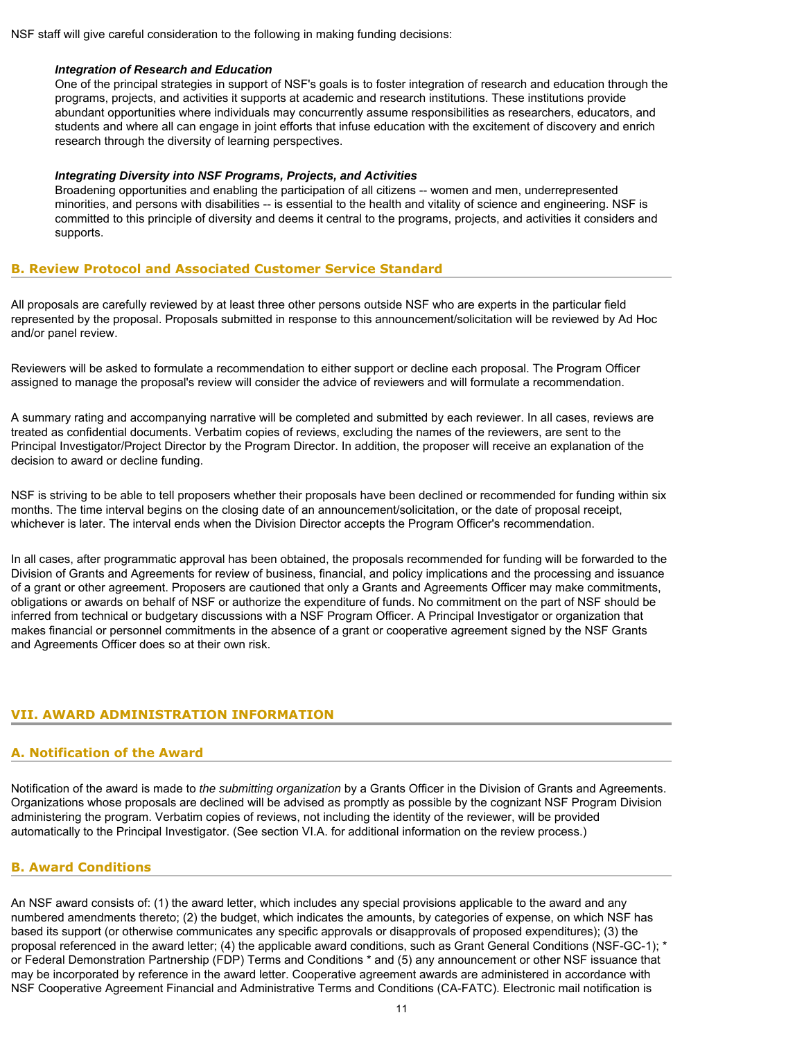NSF staff will give careful consideration to the following in making funding decisions:

#### *Integration of Research and Education*

One of the principal strategies in support of NSF's goals is to foster integration of research and education through the programs, projects, and activities it supports at academic and research institutions. These institutions provide abundant opportunities where individuals may concurrently assume responsibilities as researchers, educators, and students and where all can engage in joint efforts that infuse education with the excitement of discovery and enrich research through the diversity of learning perspectives.

#### *Integrating Diversity into NSF Programs, Projects, and Activities*

Broadening opportunities and enabling the participation of all citizens -- women and men, underrepresented minorities, and persons with disabilities -- is essential to the health and vitality of science and engineering. NSF is committed to this principle of diversity and deems it central to the programs, projects, and activities it considers and supports.

# <span id="page-10-0"></span>**B. Review Protocol and Associated Customer Service Standard**

All proposals are carefully reviewed by at least three other persons outside NSF who are experts in the particular field represented by the proposal. Proposals submitted in response to this announcement/solicitation will be reviewed by Ad Hoc and/or panel review.

Reviewers will be asked to formulate a recommendation to either support or decline each proposal. The Program Officer assigned to manage the proposal's review will consider the advice of reviewers and will formulate a recommendation.

A summary rating and accompanying narrative will be completed and submitted by each reviewer. In all cases, reviews are treated as confidential documents. Verbatim copies of reviews, excluding the names of the reviewers, are sent to the Principal Investigator/Project Director by the Program Director. In addition, the proposer will receive an explanation of the decision to award or decline funding.

NSF is striving to be able to tell proposers whether their proposals have been declined or recommended for funding within six months. The time interval begins on the closing date of an announcement/solicitation, or the date of proposal receipt, whichever is later. The interval ends when the Division Director accepts the Program Officer's recommendation.

In all cases, after programmatic approval has been obtained, the proposals recommended for funding will be forwarded to the Division of Grants and Agreements for review of business, financial, and policy implications and the processing and issuance of a grant or other agreement. Proposers are cautioned that only a Grants and Agreements Officer may make commitments, obligations or awards on behalf of NSF or authorize the expenditure of funds. No commitment on the part of NSF should be inferred from technical or budgetary discussions with a NSF Program Officer. A Principal Investigator or organization that makes financial or personnel commitments in the absence of a grant or cooperative agreement signed by the NSF Grants and Agreements Officer does so at their own risk.

# <span id="page-10-2"></span><span id="page-10-1"></span>**VII. AWARD ADMINISTRATION INFORMATION**

# **A. Notification of the Award**

Notification of the award is made to *the submitting organization* by a Grants Officer in the Division of Grants and Agreements. Organizations whose proposals are declined will be advised as promptly as possible by the cognizant NSF Program Division administering the program. Verbatim copies of reviews, not including the identity of the reviewer, will be provided automatically to the Principal Investigator. (See section VI.A. for additional information on the review process.)

# <span id="page-10-3"></span>**B. Award Conditions**

An NSF award consists of: (1) the award letter, which includes any special provisions applicable to the award and any numbered amendments thereto; (2) the budget, which indicates the amounts, by categories of expense, on which NSF has based its support (or otherwise communicates any specific approvals or disapprovals of proposed expenditures); (3) the proposal referenced in the award letter; (4) the applicable award conditions, such as Grant General Conditions (NSF-GC-1); \* or Federal Demonstration Partnership (FDP) Terms and Conditions \* and (5) any announcement or other NSF issuance that may be incorporated by reference in the award letter. Cooperative agreement awards are administered in accordance with NSF Cooperative Agreement Financial and Administrative Terms and Conditions (CA-FATC). Electronic mail notification is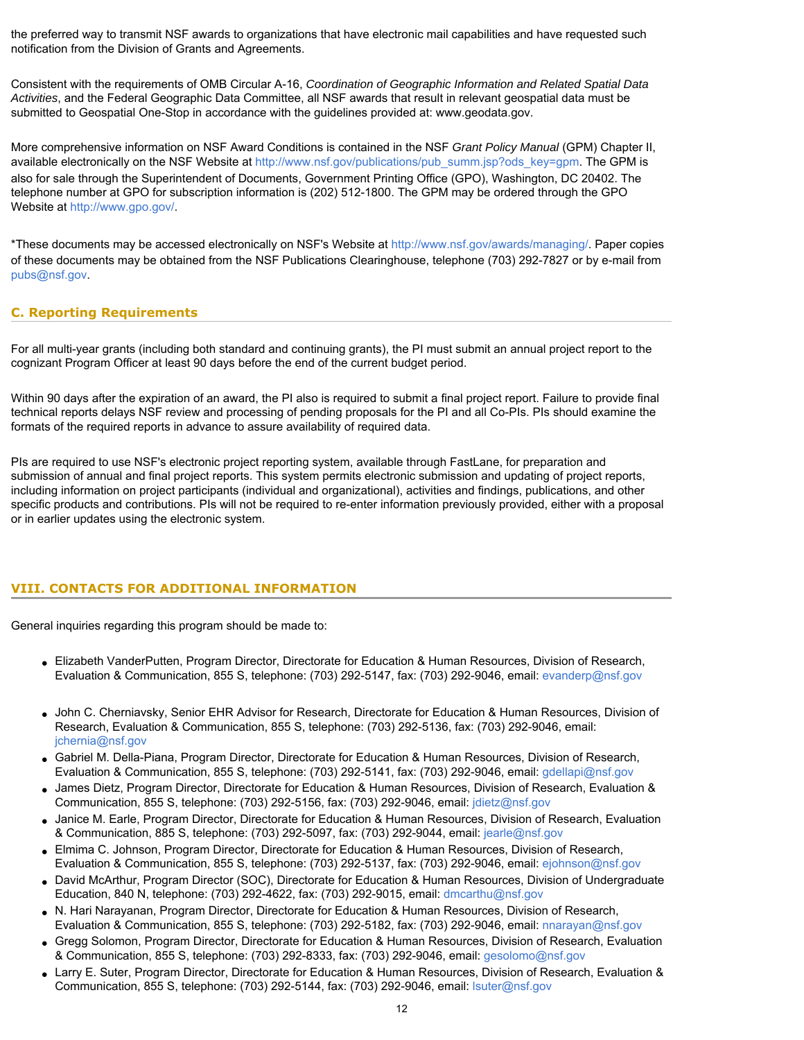the preferred way to transmit NSF awards to organizations that have electronic mail capabilities and have requested such notification from the Division of Grants and Agreements.

Consistent with the requirements of OMB Circular A-16, *Coordination of Geographic Information and Related Spatial Data Activities*, and the Federal Geographic Data Committee, all NSF awards that result in relevant geospatial data must be submitted to Geospatial One-Stop in accordance with the guidelines provided at: [www.geodata.gov.](http://www.geodata.gov)

More comprehensive information on NSF Award Conditions is contained in the NSF *Grant Policy Manual* (GPM) Chapter II, available electronically on the NSF Website at [http://www.nsf.gov/publications/pub\\_summ.jsp?ods\\_key=gpm](http://www.nsf.gov/publications/pub_summ.jsp?ods_key=gpm). The GPM is also for sale through the Superintendent of Documents, Government Printing Office (GPO), Washington, DC 20402. The telephone number at GPO for subscription information is (202) 512-1800. The GPM may be ordered through the GPO Website at [http://www.gpo.gov/.](http://www.gpo.gov/)

\*These documents may be accessed electronically on NSF's Website at<http://www.nsf.gov/awards/managing/>. Paper copies of these documents may be obtained from the NSF Publications Clearinghouse, telephone (703) 292-7827 or by e-mail from [pubs@nsf.gov](mailto:pubs@nsf.gov).

# <span id="page-11-0"></span>**C. Reporting Requirements**

For all multi-year grants (including both standard and continuing grants), the PI must submit an annual project report to the cognizant Program Officer at least 90 days before the end of the current budget period.

Within 90 days after the expiration of an award, the PI also is required to submit a final project report. Failure to provide final technical reports delays NSF review and processing of pending proposals for the PI and all Co-PIs. PIs should examine the formats of the required reports in advance to assure availability of required data.

PIs are required to use NSF's electronic project reporting system, available through FastLane, for preparation and submission of annual and final project reports. This system permits electronic submission and updating of project reports, including information on project participants (individual and organizational), activities and findings, publications, and other specific products and contributions. PIs will not be required to re-enter information previously provided, either with a proposal or in earlier updates using the electronic system.

# <span id="page-11-1"></span>**VIII. CONTACTS FOR ADDITIONAL INFORMATION**

General inquiries regarding this program should be made to:

- Elizabeth VanderPutten, Program Director, Directorate for Education & Human Resources, Division of Research, Evaluation & Communication, 855 S, telephone: (703) 292-5147, fax: (703) 292-9046, email: [evanderp@nsf.gov](mailto:evanderp@nsf.gov)
- John C. Cherniavsky, Senior EHR Advisor for Research, Directorate for Education & Human Resources, Division of Research, Evaluation & Communication, 855 S, telephone: (703) 292-5136, fax: (703) 292-9046, email: [jchernia@nsf.gov](mailto:jchernia@nsf.gov)
- Gabriel M. Della-Piana, Program Director, Directorate for Education & Human Resources, Division of Research, Evaluation & Communication, 855 S, telephone: (703) 292-5141, fax: (703) 292-9046, email: [gdellapi@nsf.gov](mailto:gdellapi@nsf.gov)
- James Dietz, Program Director, Directorate for Education & Human Resources, Division of Research, Evaluation & Communication, 855 S, telephone: (703) 292-5156, fax: (703) 292-9046, email: [jdietz@nsf.gov](mailto:jdietz@nsf.gov)
- Janice M. Earle, Program Director, Directorate for Education & Human Resources, Division of Research, Evaluation & Communication, 885 S, telephone: (703) 292-5097, fax: (703) 292-9044, email: [jearle@nsf.gov](mailto:jearle@nsf.gov)
- Elmima C. Johnson, Program Director, Directorate for Education & Human Resources, Division of Research, Evaluation & Communication, 855 S, telephone: (703) 292-5137, fax: (703) 292-9046, email: [ejohnson@nsf.gov](mailto:ejohnson@nsf.gov)
- David McArthur, Program Director (SOC), Directorate for Education & Human Resources, Division of Undergraduate Education, 840 N, telephone: (703) 292-4622, fax: (703) 292-9015, email: [dmcarthu@nsf.gov](mailto:dmcarthu@nsf.gov)
- N. Hari Narayanan, Program Director, Directorate for Education & Human Resources, Division of Research, Evaluation & Communication, 855 S, telephone: (703) 292-5182, fax: (703) 292-9046, email: [nnarayan@nsf.gov](mailto:nnarayan@nsf.gov)
- Gregg Solomon, Program Director, Directorate for Education & Human Resources, Division of Research, Evaluation & Communication, 855 S, telephone: (703) 292-8333, fax: (703) 292-9046, email: [gesolomo@nsf.gov](mailto:gesolomo@nsf.gov)
- Larry E. Suter, Program Director, Directorate for Education & Human Resources, Division of Research, Evaluation & Communication, 855 S, telephone: (703) 292-5144, fax: (703) 292-9046, email: [lsuter@nsf.gov](mailto:lsuter@nsf.gov)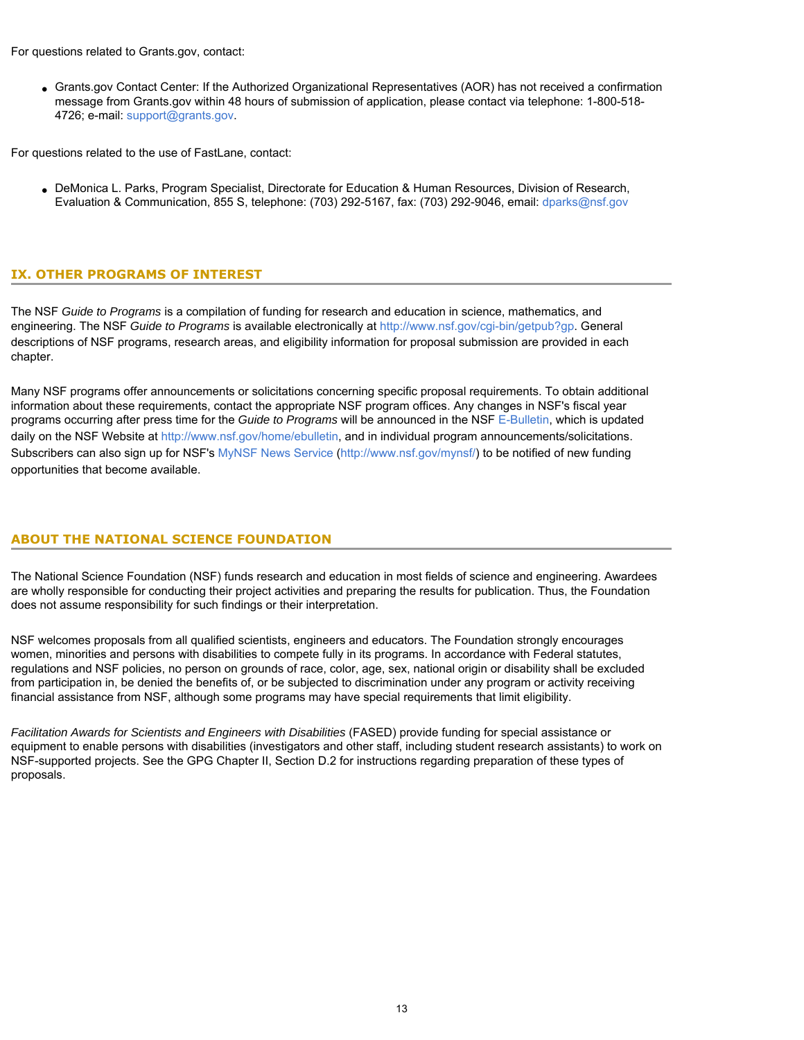For questions related to Grants.gov, contact:

• Grants.gov Contact Center: If the Authorized Organizational Representatives (AOR) has not received a confirmation message from Grants.gov within 48 hours of submission of application, please contact via telephone: 1-800-518- 4726; e-mail: [support@grants.gov](mailto:support@grants.gov).

For questions related to the use of FastLane, contact:

● DeMonica L. Parks, Program Specialist, Directorate for Education & Human Resources, Division of Research, Evaluation & Communication, 855 S, telephone: (703) 292-5167, fax: (703) 292-9046, email: [dparks@nsf.gov](mailto:dparks@nsf.gov)

# <span id="page-12-0"></span>**IX. OTHER PROGRAMS OF INTEREST**

The NSF *Guide to Programs* is a compilation of funding for research and education in science, mathematics, and engineering. The NSF *Guide to Programs* is available electronically at<http://www.nsf.gov/cgi-bin/getpub?gp>. General descriptions of NSF programs, research areas, and eligibility information for proposal submission are provided in each chapter.

Many NSF programs offer announcements or solicitations concerning specific proposal requirements. To obtain additional information about these requirements, contact the appropriate NSF program offices. Any changes in NSF's fiscal year programs occurring after press time for the *Guide to Programs* will be announced in the NSF [E-Bulletin](http://www.nsf.gov/home/ebulletin), which is updated daily on the NSF Website at [http://www.nsf.gov/home/ebulletin,](http://www.nsf.gov/home/ebulletin) and in individual program announcements/solicitations. Subscribers can also sign up for NSF's [MyNSF News Service \(http://www.nsf.gov/mynsf/](http://www.nsf.gov/mynsf/)) to be notified of new funding opportunities that become available.

# **ABOUT THE NATIONAL SCIENCE FOUNDATION**

The National Science Foundation (NSF) funds research and education in most fields of science and engineering. Awardees are wholly responsible for conducting their project activities and preparing the results for publication. Thus, the Foundation does not assume responsibility for such findings or their interpretation.

NSF welcomes proposals from all qualified scientists, engineers and educators. The Foundation strongly encourages women, minorities and persons with disabilities to compete fully in its programs. In accordance with Federal statutes, regulations and NSF policies, no person on grounds of race, color, age, sex, national origin or disability shall be excluded from participation in, be denied the benefits of, or be subjected to discrimination under any program or activity receiving financial assistance from NSF, although some programs may have special requirements that limit eligibility.

*Facilitation Awards for Scientists and Engineers with Disabilities* (FASED) provide funding for special assistance or equipment to enable persons with disabilities (investigators and other staff, including student research assistants) to work on NSF-supported projects. See the GPG Chapter II, Section D.2 for instructions regarding preparation of these types of proposals.